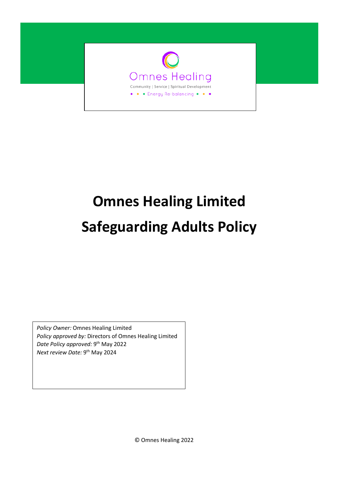

# **Omnes Healing Limited Safeguarding Adults Policy**

*Policy Owner:* Omnes Healing Limited *Policy approved by:* Directors of Omnes Healing Limited *Date Policy approved:* 9<sup>th</sup> May 2022 *Next review Date:* 9<sup>th</sup> May 2024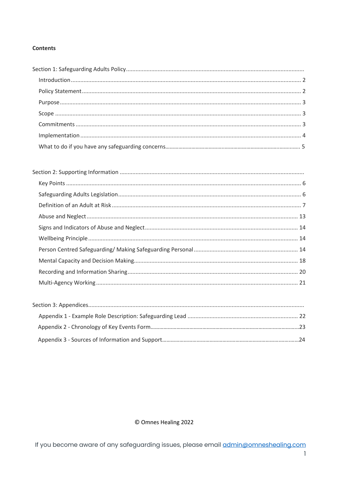## **Contents**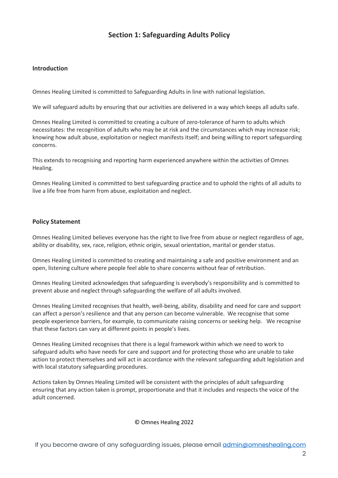# **Section 1: Safeguarding Adults Policy**

## **Introduction**

Omnes Healing Limited is committed to Safeguarding Adults in line with national legislation.

We will safeguard adults by ensuring that our activities are delivered in a way which keeps all adults safe.

Omnes Healing Limited is committed to creating a culture of zero-tolerance of harm to adults which necessitates: the recognition of adults who may be at risk and the circumstances which may increase risk; knowing how adult abuse, exploitation or neglect manifests itself; and being willing to report safeguarding concerns.

This extends to recognising and reporting harm experienced anywhere within the activities of Omnes Healing.

Omnes Healing Limited is committed to best safeguarding practice and to uphold the rights of all adults to live a life free from harm from abuse, exploitation and neglect.

#### **Policy Statement**

Omnes Healing Limited believes everyone has the right to live free from abuse or neglect regardless of age, ability or disability, sex, race, religion, ethnic origin, sexual orientation, marital or gender status.

Omnes Healing Limited is committed to creating and maintaining a safe and positive environment and an open, listening culture where people feel able to share concerns without fear of retribution.

Omnes Healing Limited acknowledges that safeguarding is everybody's responsibility and is committed to prevent abuse and neglect through safeguarding the welfare of all adults involved.

Omnes Healing Limited recognises that health, well-being, ability, disability and need for care and support can affect a person's resilience and that any person can become vulnerable. We recognise that some people experience barriers, for example, to communicate raising concerns or seeking help. We recognise that these factors can vary at different points in people's lives.

Omnes Healing Limited recognises that there is a legal framework within which we need to work to safeguard adults who have needs for care and support and for protecting those who are unable to take action to protect themselves and will act in accordance with the relevant safeguarding adult legislation and with local statutory safeguarding procedures.

Actions taken by Omnes Healing Limited will be consistent with the principles of adult safeguarding ensuring that any action taken is prompt, proportionate and that it includes and respects the voice of the adult concerned.

© Omnes Healing 2022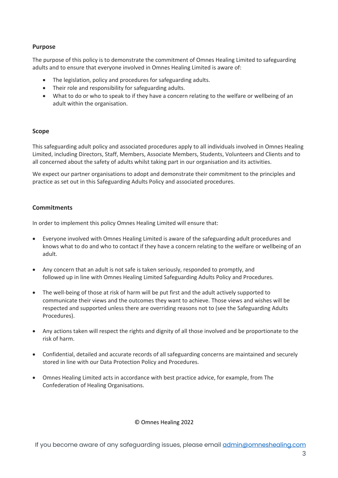## **Purpose**

The purpose of this policy is to demonstrate the commitment of Omnes Healing Limited to safeguarding adults and to ensure that everyone involved in Omnes Healing Limited is aware of:

- The legislation, policy and procedures for safeguarding adults.
- Their role and responsibility for safeguarding adults.
- What to do or who to speak to if they have a concern relating to the welfare or wellbeing of an adult within the organisation.

#### **Scope**

This safeguarding adult policy and associated procedures apply to all individuals involved in Omnes Healing Limited, including Directors, Staff, Members, Associate Members, Students, Volunteers and Clients and to all concerned about the safety of adults whilst taking part in our organisation and its activities.

We expect our partner organisations to adopt and demonstrate their commitment to the principles and practice as set out in this Safeguarding Adults Policy and associated procedures.

## **Commitments**

In order to implement this policy Omnes Healing Limited will ensure that:

- Everyone involved with Omnes Healing Limited is aware of the safeguarding adult procedures and knows what to do and who to contact if they have a concern relating to the welfare or wellbeing of an adult.
- Any concern that an adult is not safe is taken seriously, responded to promptly, and followed up in line with Omnes Healing Limited Safeguarding Adults Policy and Procedures.
- The well-being of those at risk of harm will be put first and the adult actively supported to communicate their views and the outcomes they want to achieve. Those views and wishes will be respected and supported unless there are overriding reasons not to (see the Safeguarding Adults Procedures).
- Any actions taken will respect the rights and dignity of all those involved and be proportionate to the risk of harm.
- Confidential, detailed and accurate records of all safeguarding concerns are maintained and securely stored in line with our Data Protection Policy and Procedures.
- Omnes Healing Limited acts in accordance with best practice advice, for example, from The Confederation of Healing Organisations.

#### © Omnes Healing 2022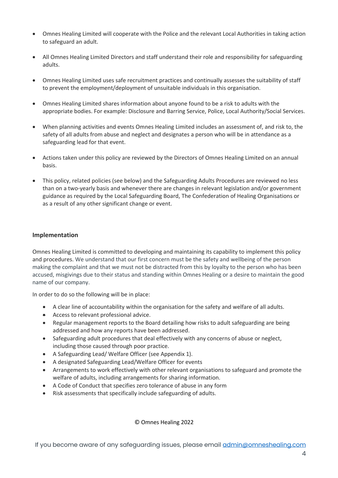- Omnes Healing Limited will cooperate with the Police and the relevant Local Authorities in taking action to safeguard an adult.
- All Omnes Healing Limited Directors and staff understand their role and responsibility for safeguarding adults.
- Omnes Healing Limited uses safe recruitment practices and continually assesses the suitability of staff to prevent the employment/deployment of unsuitable individuals in this organisation.
- Omnes Healing Limited shares information about anyone found to be a risk to adults with the appropriate bodies. For example: Disclosure and Barring Service, Police, Local Authority/Social Services.
- When planning activities and events Omnes Healing Limited includes an assessment of, and risk to, the safety of all adults from abuse and neglect and designates a person who will be in attendance as a safeguarding lead for that event.
- Actions taken under this policy are reviewed by the Directors of Omnes Healing Limited on an annual basis.
- This policy, related policies (see below) and the Safeguarding Adults Procedures are reviewed no less than on a two-yearly basis and whenever there are changes in relevant legislation and/or government guidance as required by the Local Safeguarding Board, The Confederation of Healing Organisations or as a result of any other significant change or event.

#### **Implementation**

Omnes Healing Limited is committed to developing and maintaining its capability to implement this policy and procedures. We understand that our first concern must be the safety and wellbeing of the person making the complaint and that we must not be distracted from this by loyalty to the person who has been accused, misgivings due to their status and standing within Omnes Healing or a desire to maintain the good name of our company.

In order to do so the following will be in place:

- A clear line of accountability within the organisation for the safety and welfare of all adults.
- Access to relevant professional advice.
- Regular management reports to the Board detailing how risks to adult safeguarding are being addressed and how any reports have been addressed.
- Safeguarding adult procedures that deal effectively with any concerns of abuse or neglect, including those caused through poor practice.
- A Safeguarding Lead/ Welfare Officer (see Appendix 1).
- A designated Safeguarding Lead/Welfare Officer for events
- Arrangements to work effectively with other relevant organisations to safeguard and promote the welfare of adults, including arrangements for sharing information.
- A Code of Conduct that specifies zero tolerance of abuse in any form
- Risk assessments that specifically include safeguarding of adults.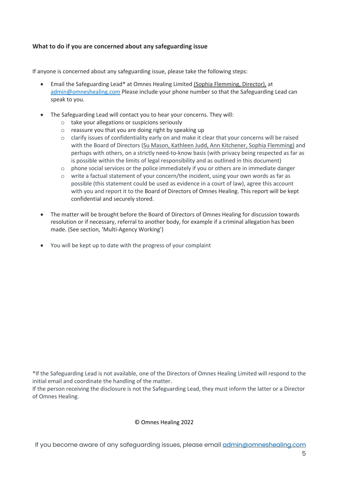## **What to do if you are concerned about any safeguarding issue**

If anyone is concerned about any safeguarding issue, please take the following steps:

- Email the Safeguarding Lead\* at Omnes Healing Limited (Sophia Flemming, Director), at admin@omneshealing.com Please include your phone number so that the Safeguarding Lead can speak to you.
- The Safeguarding Lead will contact you to hear your concerns. They will:
	- o take your allegations or suspicions seriously
	- o reassure you that you are doing right by speaking up
	- o clarify issues of confidentiality early on and make it clear that your concerns will be raised with the Board of Directors (Su Mason, Kathleen Judd, Ann Kitchener, Sophia Flemming) and perhaps with others, on a strictly need-to-know basis (with privacy being respected as far as is possible within the limits of legal responsibility and as outlined in this document)
	- $\circ$  phone social services or the police immediately if you or others are in immediate danger
	- o write a factual statement of your concern/the incident, using your own words as far as possible (this statement could be used as evidence in a court of law), agree this account with you and report it to the Board of Directors of Omnes Healing. This report will be kept confidential and securely stored.
- The matter will be brought before the Board of Directors of Omnes Healing for discussion towards resolution or if necessary, referral to another body, for example if a criminal allegation has been made. (See section, 'Multi-Agency Working')
- You will be kept up to date with the progress of your complaint

\*If the Safeguarding Lead is not available, one of the Directors of Omnes Healing Limited will respond to the initial email and coordinate the handling of the matter.

If the person receiving the disclosure is not the Safeguarding Lead, they must inform the latter or a Director of Omnes Healing.

#### © Omnes Healing 2022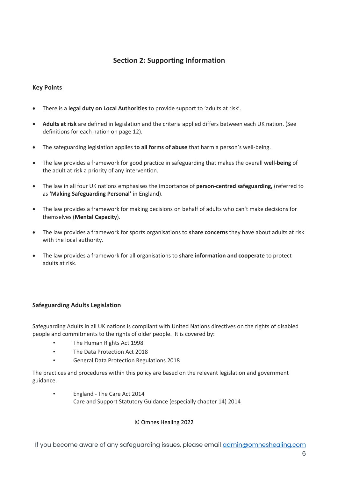## **Section 2: Supporting Information**

## **Key Points**

- There is a **legal duty on Local Authorities** to provide support to 'adults at risk'.
- **Adults at risk** are defined in legislation and the criteria applied differs between each UK nation. (See definitions for each nation on page 12).
- The safeguarding legislation applies **to all forms of abuse** that harm a person's well-being.
- The law provides a framework for good practice in safeguarding that makes the overall **well-being** of the adult at risk a priority of any intervention.
- The law in all four UK nations emphasises the importance of **person-centred safeguarding,** (referred to as **'Making Safeguarding Personal'** in England).
- The law provides a framework for making decisions on behalf of adults who can't make decisions for themselves (**Mental Capacity**).
- The law provides a framework for sports organisations to **share concerns** they have about adults at risk with the local authority.
- The law provides a framework for all organisations to **share information and cooperate** to protect adults at risk.

## **Safeguarding Adults Legislation**

Safeguarding Adults in all UK nations is compliant with United Nations directives on the rights of disabled people and commitments to the rights of older people. It is covered by:

- The Human Rights Act 1998
- The Data Protection Act 2018
- General Data Protection Regulations 2018

The practices and procedures within this policy are based on the relevant legislation and government guidance.

• England - The Care Act 2014 Care and Support Statutory Guidance (especially chapter 14) 2014

#### © Omnes Healing 2022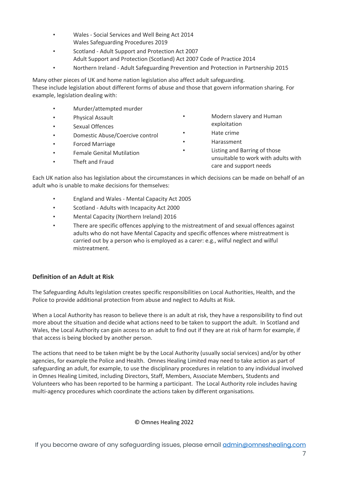- Wales Social Services and Well Being Act 2014 Wales Safeguarding Procedures 2019
- Scotland Adult Support and Protection Act 2007 Adult Support and Protection (Scotland) Act 2007 Code of Practice 2014
- Northern Ireland Adult Safeguarding Prevention and Protection in Partnership 2015

Many other pieces of UK and home nation legislation also affect adult safeguarding. These include legislation about different forms of abuse and those that govern information sharing. For example, legislation dealing with:

- Murder/attempted murder
- Physical Assault
- Sexual Offences
- Domestic Abuse/Coercive control
- Forced Marriage
- Female Genital Mutilation
- Theft and Fraud
- Modern slavery and Human exploitation
- Hate crime
- Harassment
- Listing and Barring of those unsuitable to work with adults with care and support needs

Each UK nation also has legislation about the circumstances in which decisions can be made on behalf of an adult who is unable to make decisions for themselves:

- England and Wales Mental Capacity Act 2005
- Scotland Adults with Incapacity Act 2000
- Mental Capacity (Northern Ireland) 2016
- There are specific offences applying to the mistreatment of and sexual offences against adults who do not have Mental Capacity and specific offences where mistreatment is carried out by a person who is employed as a carer: e.g., wilful neglect and wilful mistreatment.

#### **Definition of an Adult at Risk**

The Safeguarding Adults legislation creates specific responsibilities on Local Authorities, Health, and the Police to provide additional protection from abuse and neglect to Adults at Risk.

When a Local Authority has reason to believe there is an adult at risk, they have a responsibility to find out more about the situation and decide what actions need to be taken to support the adult. In Scotland and Wales, the Local Authority can gain access to an adult to find out if they are at risk of harm for example, if that access is being blocked by another person.

The actions that need to be taken might be by the Local Authority (usually social services) and/or by other agencies, for example the Police and Health. Omnes Healing Limited may need to take action as part of safeguarding an adult, for example, to use the disciplinary procedures in relation to any individual involved in Omnes Healing Limited, including Directors, Staff, Members, Associate Members, Students and Volunteers who has been reported to be harming a participant. The Local Authority role includes having multi-agency procedures which coordinate the actions taken by different organisations.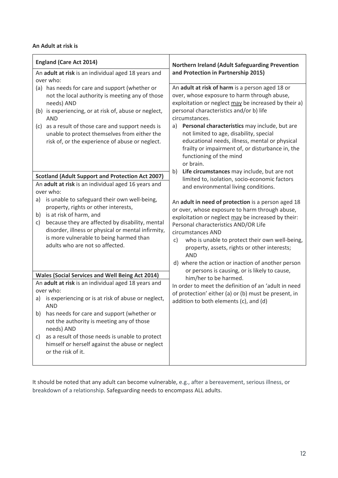#### **An Adult at risk is**

| <b>England (Care Act 2014)</b>                                                                                                                                                                                                                                                                                                                  | Northern Ireland (Adult Safeguarding Prevention<br>and Protection in Partnership 2015)<br>An adult at risk of harm is a person aged 18 or<br>over, whose exposure to harm through abuse,<br>exploitation or neglect may be increased by their a)<br>personal characteristics and/or b) life<br>circumstances.<br>a) Personal characteristics may include, but are<br>not limited to age, disability, special<br>educational needs, illness, mental or physical<br>frailty or impairment of, or disturbance in, the<br>functioning of the mind<br>or brain. |  |
|-------------------------------------------------------------------------------------------------------------------------------------------------------------------------------------------------------------------------------------------------------------------------------------------------------------------------------------------------|------------------------------------------------------------------------------------------------------------------------------------------------------------------------------------------------------------------------------------------------------------------------------------------------------------------------------------------------------------------------------------------------------------------------------------------------------------------------------------------------------------------------------------------------------------|--|
| An adult at risk is an individual aged 18 years and<br>over who:                                                                                                                                                                                                                                                                                |                                                                                                                                                                                                                                                                                                                                                                                                                                                                                                                                                            |  |
| (a) has needs for care and support (whether or<br>not the local authority is meeting any of those<br>needs) AND<br>(b) is experiencing, or at risk of, abuse or neglect,<br><b>AND</b><br>(c) as a result of those care and support needs is<br>unable to protect themselves from either the<br>risk of, or the experience of abuse or neglect. |                                                                                                                                                                                                                                                                                                                                                                                                                                                                                                                                                            |  |
| <b>Scotland (Adult Support and Protection Act 2007)</b><br>An adult at risk is an individual aged 16 years and<br>over who:                                                                                                                                                                                                                     | Life circumstances may include, but are not<br>b)<br>limited to, isolation, socio-economic factors<br>and environmental living conditions.                                                                                                                                                                                                                                                                                                                                                                                                                 |  |
| is unable to safeguard their own well-being,<br>a)<br>property, rights or other interests,<br>is at risk of harm, and<br>b)<br>because they are affected by disability, mental<br>c)<br>disorder, illness or physical or mental infirmity,<br>is more vulnerable to being harmed than<br>adults who are not so affected.                        | An adult in need of protection is a person aged 18<br>or over, whose exposure to harm through abuse,<br>exploitation or neglect may be increased by their:<br>Personal characteristics AND/OR Life<br>circumstances AND<br>who is unable to protect their own well-being,<br>c)<br>property, assets, rights or other interests;<br><b>AND</b><br>d) where the action or inaction of another person                                                                                                                                                         |  |
| <b>Wales (Social Services and Well Being Act 2014)</b><br>An adult at risk is an individual aged 18 years and                                                                                                                                                                                                                                   | or persons is causing, or is likely to cause,<br>him/her to be harmed.<br>In order to meet the definition of an 'adult in need                                                                                                                                                                                                                                                                                                                                                                                                                             |  |
| over who:<br>is experiencing or is at risk of abuse or neglect,<br>a)<br><b>AND</b>                                                                                                                                                                                                                                                             | of protection' either (a) or (b) must be present, in<br>addition to both elements (c), and (d)                                                                                                                                                                                                                                                                                                                                                                                                                                                             |  |
| has needs for care and support (whether or<br>b)<br>not the authority is meeting any of those<br>needs) AND<br>as a result of those needs is unable to protect<br>C)<br>himself or herself against the abuse or neglect<br>or the risk of it.                                                                                                   |                                                                                                                                                                                                                                                                                                                                                                                                                                                                                                                                                            |  |
|                                                                                                                                                                                                                                                                                                                                                 |                                                                                                                                                                                                                                                                                                                                                                                                                                                                                                                                                            |  |

It should be noted that any adult can become vulnerable, e.g., after a bereavement, serious illness, or breakdown of a relationship. Safeguarding needs to encompass ALL adults.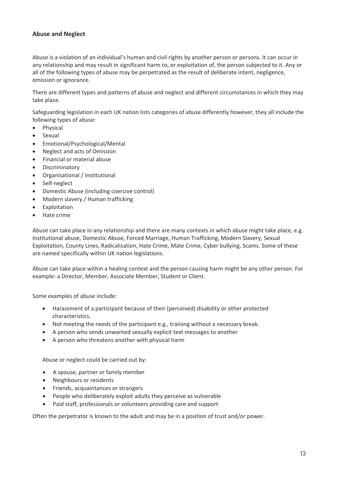## **Abuse and Neglect**

Abuse is a violation of an individual's human and civil rights by another person or persons. It can occur in any relationship and may result in significant harm to, or exploitation of, the person subjected to it. Any or all of the following types of abuse may be perpetrated as the result of deliberate intent, negligence, omission or ignorance.

There are different types and patterns of abuse and neglect and different circumstances in which they may take place.

Safeguarding legislation in each UK nation lists categories of abuse differently however, they all include the following types of abuse:

- Physical
- Sexual
- Emotional/Psychological/Mental
- Neglect and acts of Omission
- Financial or material abuse
- Discriminatory
- Organisational / Institutional
- Self-neglect
- Domestic Abuse (including coercive control)
- Modern slavery / Human trafficking
- Exploitation
- Hate crime

Abuse can take place in any relationship and there are many contexts in which abuse might take place, e.g. Institutional abuse, Domestic Abuse, Forced Marriage, Human Trafficking, Modern Slavery, Sexual Exploitation, County Lines, Radicalisation, Hate Crime, Mate Crime, Cyber bullying, Scams. Some of these are named specifically within UK nation legislations.

Abuse can take place within a healing context and the person causing harm might be any other person. For example: a Director, Member, Associate Member, Student or Client.

Some examples of abuse include:

- Harassment of a participant because of their (perceived) disability or other protected characteristics.
- Not meeting the needs of the participant e.g., training without a necessary break.
- A person who sends unwanted sexually explicit text messages to another
- A person who threatens another with physical harm

Abuse or neglect could be carried out by:

- A spouse, partner or family member
- Neighbours or residents
- Friends, acquaintances or strangers
- People who deliberately exploit adults they perceive as vulnerable
- Paid staff, professionals or volunteers providing care and support

Often the perpetrator is known to the adult and may be in a position of trust and/or power.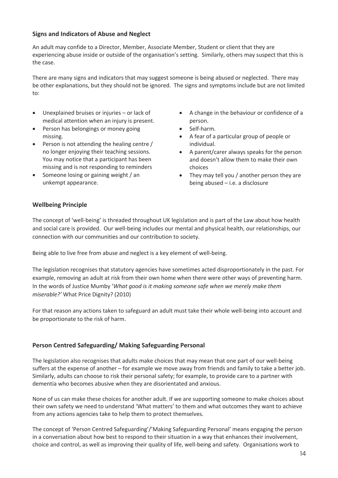#### **Signs and Indicators of Abuse and Neglect**

An adult may confide to a Director, Member, Associate Member, Student or client that they are experiencing abuse inside or outside of the organisation's setting. Similarly, others may suspect that this is the case.

There are many signs and indicators that may suggest someone is being abused or neglected. There may be other explanations, but they should not be ignored. The signs and symptoms include but are not limited to:

- Unexplained bruises or injuries or lack of medical attention when an injury is present.
- Person has belongings or money going missing.
- Person is not attending the healing centre / no longer enjoying their teaching sessions. You may notice that a participant has been missing and is not responding to reminders
- Someone losing or gaining weight / an unkempt appearance.
- A change in the behaviour or confidence of a person.
- Self-harm.
- A fear of a particular group of people or individual.
- A parent/carer always speaks for the person and doesn't allow them to make their own choices
- They may tell you / another person they are being abused – i.e. a disclosure

#### **Wellbeing Principle**

The concept of 'well-being' is threaded throughout UK legislation and is part of the Law about how health and social care is provided. Our well-being includes our mental and physical health, our relationships, our connection with our communities and our contribution to society.

Being able to live free from abuse and neglect is a key element of well-being.

The legislation recognises that statutory agencies have sometimes acted disproportionately in the past. For example, removing an adult at risk from their own home when there were other ways of preventing harm. In the words of Justice Mumby '*What good is it making someone safe when we merely make them miserable?'* What Price Dignity? (2010)

For that reason any actions taken to safeguard an adult must take their whole well-being into account and be proportionate to the risk of harm.

#### **Person Centred Safeguarding/ Making Safeguarding Personal**

The legislation also recognises that adults make choices that may mean that one part of our well-being suffers at the expense of another – for example we move away from friends and family to take a better job. Similarly, adults can choose to risk their personal safety; for example, to provide care to a partner with dementia who becomes abusive when they are disorientated and anxious.

None of us can make these choices for another adult. If we are supporting someone to make choices about their own safety we need to understand 'What matters' to them and what outcomes they want to achieve from any actions agencies take to help them to protect themselves.

The concept of 'Person Centred Safeguarding'/'Making Safeguarding Personal' means engaging the person in a conversation about how best to respond to their situation in a way that enhances their involvement, choice and control, as well as improving their quality of life, well-being and safety. Organisations work to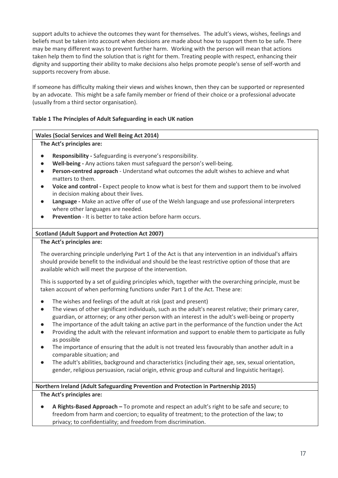support adults to achieve the outcomes they want for themselves. The adult's views, wishes, feelings and beliefs must be taken into account when decisions are made about how to support them to be safe. There may be many different ways to prevent further harm. Working with the person will mean that actions taken help them to find the solution that is right for them. Treating people with respect, enhancing their dignity and supporting their ability to make decisions also helps promote people's sense of self-worth and supports recovery from abuse.

If someone has difficulty making their views and wishes known, then they can be supported or represented by an advocate. This might be a safe family member or friend of their choice or a professional advocate (usually from a third sector organisation).

## **Table 1 The Principles of Adult Safeguarding in each UK nation**

#### **Wales (Social Services and Well Being Act 2014)**

#### **The Act's principles are:**

- **Responsibility -** Safeguarding is everyone's responsibility.
- **Well-being -** Any actions taken must safeguard the person's well-being.
- **Person-centred approach** Understand what outcomes the adult wishes to achieve and what matters to them.
- **Voice and control -** Expect people to know what is best for them and support them to be involved in decision making about their lives.
- Language Make an active offer of use of the Welsh language and use professional interpreters where other languages are needed.
- **Prevention** It is better to take action before harm occurs.

#### **Scotland (Adult Support and Protection Act 2007)**

#### **The Act's principles are:**

The overarching principle underlying Part 1 of the Act is that any intervention in an individual's affairs should provide benefit to the individual and should be the least restrictive option of those that are available which will meet the purpose of the intervention.

This is supported by a set of guiding principles which, together with the overarching principle, must be taken account of when performing functions under Part 1 of the Act. These are:

- The wishes and feelings of the adult at risk (past and present)
- The views of other significant individuals, such as the adult's nearest relative; their primary carer, guardian, or attorney; or any other person with an interest in the adult's well-being or property
- The importance of the adult taking an active part in the performance of the function under the Act
- Providing the adult with the relevant information and support to enable them to participate as fully as possible
- The importance of ensuring that the adult is not treated less favourably than another adult in a comparable situation; and
- The adult's abilities, background and characteristics (including their age, sex, sexual orientation, gender, religious persuasion, racial origin, ethnic group and cultural and linguistic heritage).

#### **Northern Ireland (Adult Safeguarding Prevention and Protection in Partnership 2015)**

#### **The Act's principles are:**

● **A Rights-Based Approach –** To promote and respect an adult's right to be safe and secure; to freedom from harm and coercion; to equality of treatment; to the protection of the law; to privacy; to confidentiality; and freedom from discrimination.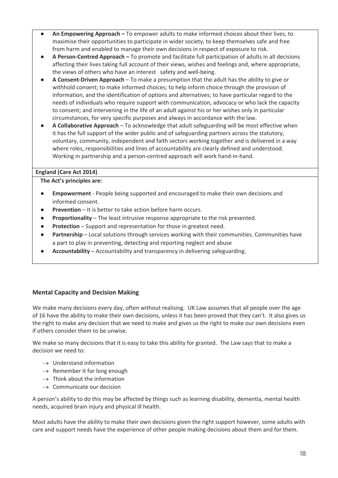- An Empowering Approach To empower adults to make informed choices about their lives, to maximise their opportunities to participate in wider society, to keep themselves safe and free from harm and enabled to manage their own decisions in respect of exposure to risk.
- **A Person-Centred Approach –** To promote and facilitate full participation of adults in all decisions affecting their lives taking full account of their views, wishes and feelings and, where appropriate, the views of others who have an interest safety and well-being.
- **A Consent-Driven Approach**  To make a presumption that the adult has the ability to give or withhold consent; to make informed choices; to help inform choice through the provision of information, and the identification of options and alternatives; to have particular regard to the needs of individuals who require support with communication, advocacy or who lack the capacity to consent; and intervening in the life of an adult against his or her wishes only in particular circumstances, for very specific purposes and always in accordance with the law.
- **A Collaborative Approach**  To acknowledge that adult safeguarding will be most effective when it has the full support of the wider public and of safeguarding partners across the statutory, voluntary, community, independent and faith sectors working together and is delivered in a way where roles, responsibilities and lines of accountability are clearly defined and understood. Working in partnership and a person-centred approach will work hand-in-hand.

#### **England (Care Act 2014)**

**The Act's principles are:**

- **Empowerment** People being supported and encouraged to make their own decisions and informed consent.
- **Prevention** It is better to take action before harm occurs.
- **Proportionality** The least intrusive response appropriate to the risk presented.
- **Protection** Support and representation for those in greatest need.
- **•** Partnership Local solutions through services working with their communities. Communities have a part to play in preventing, detecting and reporting neglect and abuse
- Accountability Accountability and transparency in delivering safeguarding.

## **Mental Capacity and Decision Making**

We make many decisions every day, often without realising. UK Law assumes that all people over the age of 16 have the ability to make their own decisions, unless it has been proved that they can't. It also gives us the right to make any decision that we need to make and gives us the right to make our own decisions even if others consider them to be unwise.

We make so many decisions that it is easy to take this ability for granted. The Law says that to make a decision we need to:

- $\rightarrow$  Understand information
- $\rightarrow$  Remember it for long enough
- $\rightarrow$  Think about the information
- $\rightarrow$  Communicate our decision

A person's ability to do this may be affected by things such as learning disability, dementia, mental health needs, acquired brain injury and physical ill health.

Most adults have the ability to make their own decisions given the right support however, some adults with care and support needs have the experience of other people making decisions about them and for them.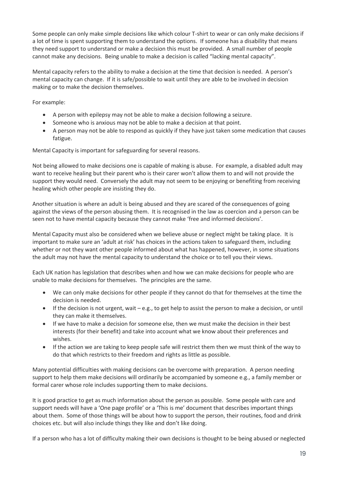Some people can only make simple decisions like which colour T-shirt to wear or can only make decisions if a lot of time is spent supporting them to understand the options. If someone has a disability that means they need support to understand or make a decision this must be provided. A small number of people cannot make any decisions. Being unable to make a decision is called "lacking mental capacity".

Mental capacity refers to the ability to make a decision at the time that decision is needed. A person's mental capacity can change. If it is safe/possible to wait until they are able to be involved in decision making or to make the decision themselves.

For example:

- A person with epilepsy may not be able to make a decision following a seizure.
- Someone who is anxious may not be able to make a decision at that point.
- A person may not be able to respond as quickly if they have just taken some medication that causes fatigue.

Mental Capacity is important for safeguarding for several reasons.

Not being allowed to make decisions one is capable of making is abuse. For example, a disabled adult may want to receive healing but their parent who is their carer won't allow them to and will not provide the support they would need. Conversely the adult may not seem to be enjoying or benefiting from receiving healing which other people are insisting they do.

Another situation is where an adult is being abused and they are scared of the consequences of going against the views of the person abusing them. It is recognised in the law as coercion and a person can be seen not to have mental capacity because they cannot make 'free and informed decisions'.

Mental Capacity must also be considered when we believe abuse or neglect might be taking place. It is important to make sure an 'adult at risk' has choices in the actions taken to safeguard them, including whether or not they want other people informed about what has happened, however, in some situations the adult may not have the mental capacity to understand the choice or to tell you their views.

Each UK nation has legislation that describes when and how we can make decisions for people who are unable to make decisions for themselves. The principles are the same.

- We can only make decisions for other people if they cannot do that for themselves at the time the decision is needed.
- If the decision is not urgent, wait e.g., to get help to assist the person to make a decision, or until they can make it themselves.
- If we have to make a decision for someone else, then we must make the decision in their best interests (for their benefit) and take into account what we know about their preferences and wishes.
- If the action we are taking to keep people safe will restrict them then we must think of the way to do that which restricts to their freedom and rights as little as possible.

Many potential difficulties with making decisions can be overcome with preparation. A person needing support to help them make decisions will ordinarily be accompanied by someone e.g., a family member or formal carer whose role includes supporting them to make decisions.

It is good practice to get as much information about the person as possible. Some people with care and support needs will have a 'One page profile' or a 'This is me' document that describes important things about them. Some of those things will be about how to support the person, their routines, food and drink choices etc. but will also include things they like and don't like doing.

If a person who has a lot of difficulty making their own decisions is thought to be being abused or neglected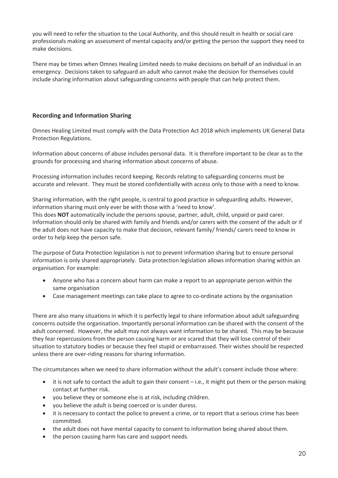you will need to refer the situation to the Local Authority, and this should result in health or social care professionals making an assessment of mental capacity and/or getting the person the support they need to make decisions.

There may be times when Omnes Healing Limited needs to make decisions on behalf of an individual in an emergency. Decisions taken to safeguard an adult who cannot make the decision for themselves could include sharing information about safeguarding concerns with people that can help protect them.

## **Recording and Information Sharing**

Omnes Healing Limited must comply with the Data Protection Act 2018 which implements UK General Data Protection Regulations.

Information about concerns of abuse includes personal data. It is therefore important to be clear as to the grounds for processing and sharing information about concerns of abuse.

Processing information includes record keeping. Records relating to safeguarding concerns must be accurate and relevant. They must be stored confidentially with access only to those with a need to know.

Sharing information, with the right people, is central to good practice in safeguarding adults. However, information sharing must only ever be with those with a 'need to know'.

This does **NOT** automatically include the persons spouse, partner, adult, child, unpaid or paid carer. Information should only be shared with family and friends and/or carers with the consent of the adult or if the adult does not have capacity to make that decision, relevant family/ friends/ carers need to know in order to help keep the person safe.

The purpose of Data Protection legislation is not to prevent information sharing but to ensure personal information is only shared appropriately. Data protection legislation allows information sharing within an organisation. For example:

- Anyone who has a concern about harm can make a report to an appropriate person within the same organisation
- Case management meetings can take place to agree to co-ordinate actions by the organisation

There are also many situations in which it is perfectly legal to share information about adult safeguarding concerns outside the organisation. Importantly personal information can be shared with the consent of the adult concerned. However, the adult may not always want information to be shared. This may be because they fear repercussions from the person causing harm or are scared that they will lose control of their situation to statutory bodies or because they feel stupid or embarrassed. Their wishes should be respected unless there are over-riding reasons for sharing information.

The circumstances when we need to share information without the adult's consent include those where:

- it is not safe to contact the adult to gain their consent i.e., it might put them or the person making contact at further risk.
- you believe they or someone else is at risk, including children.
- you believe the adult is being coerced or is under duress.
- it is necessary to contact the police to prevent a crime, or to report that a serious crime has been committed.
- the adult does not have mental capacity to consent to information being shared about them.
- the person causing harm has care and support needs.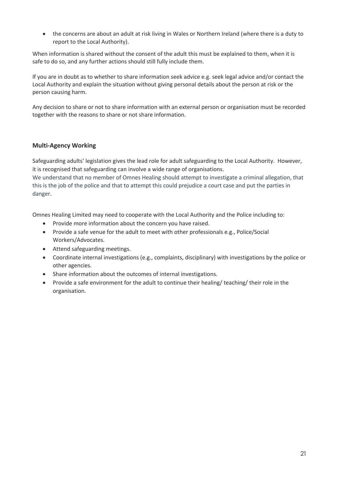• the concerns are about an adult at risk living in Wales or Northern Ireland (where there is a duty to report to the Local Authority).

When information is shared without the consent of the adult this must be explained to them, when it is safe to do so, and any further actions should still fully include them.

If you are in doubt as to whether to share information seek advice e.g. seek legal advice and/or contact the Local Authority and explain the situation without giving personal details about the person at risk or the person causing harm.

Any decision to share or not to share information with an external person or organisation must be recorded together with the reasons to share or not share information.

## **Multi-Agency Working**

Safeguarding adults' legislation gives the lead role for adult safeguarding to the Local Authority. However, it is recognised that safeguarding can involve a wide range of organisations.

We understand that no member of Omnes Healing should attempt to investigate a criminal allegation, that this is the job of the police and that to attempt this could prejudice a court case and put the parties in danger.

Omnes Healing Limited may need to cooperate with the Local Authority and the Police including to:

- Provide more information about the concern you have raised.
- Provide a safe venue for the adult to meet with other professionals e.g., Police/Social Workers/Advocates.
- Attend safeguarding meetings.
- Coordinate internal investigations (e.g., complaints, disciplinary) with investigations by the police or other agencies.
- Share information about the outcomes of internal investigations.
- Provide a safe environment for the adult to continue their healing/ teaching/ their role in the organisation.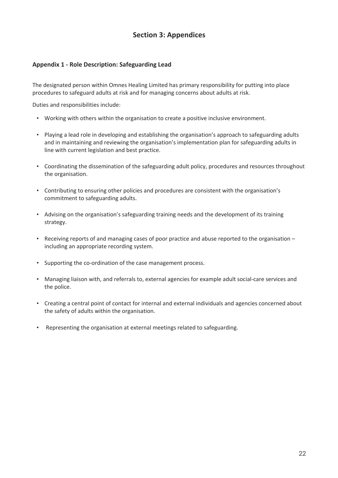# **Section 3: Appendices**

## **Appendix 1 - Role Description: Safeguarding Lead**

The designated person within Omnes Healing Limited has primary responsibility for putting into place procedures to safeguard adults at risk and for managing concerns about adults at risk.

Duties and responsibilities include:

- Working with others within the organisation to create a positive inclusive environment.
- Playing a lead role in developing and establishing the organisation's approach to safeguarding adults and in maintaining and reviewing the organisation's implementation plan for safeguarding adults in line with current legislation and best practice.
- Coordinating the dissemination of the safeguarding adult policy, procedures and resources throughout the organisation.
- Contributing to ensuring other policies and procedures are consistent with the organisation's commitment to safeguarding adults.
- Advising on the organisation's safeguarding training needs and the development of its training strategy.
- Receiving reports of and managing cases of poor practice and abuse reported to the organisation including an appropriate recording system.
- Supporting the co-ordination of the case management process.
- Managing liaison with, and referrals to, external agencies for example adult social-care services and the police.
- Creating a central point of contact for internal and external individuals and agencies concerned about the safety of adults within the organisation.
- Representing the organisation at external meetings related to safeguarding.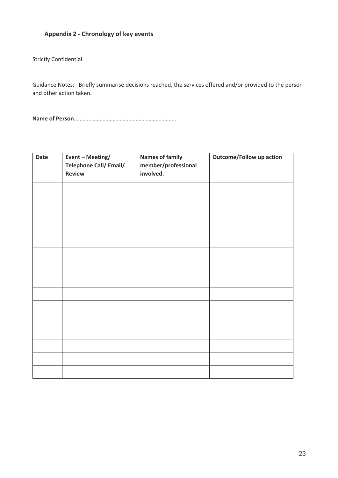## **Appendix 2 - Chronology of key events**

Strictly Confidential

Guidance Notes: Briefly summarise decisions reached, the services offered and/or provided to the person and other action taken.

**Name of Person**……………………………………………………………..

| Date | Event - Meeting/<br><b>Telephone Call/ Email/</b><br><b>Review</b> | <b>Names of family</b><br>member/professional<br>involved. | <b>Outcome/Follow up action</b> |
|------|--------------------------------------------------------------------|------------------------------------------------------------|---------------------------------|
|      |                                                                    |                                                            |                                 |
|      |                                                                    |                                                            |                                 |
|      |                                                                    |                                                            |                                 |
|      |                                                                    |                                                            |                                 |
|      |                                                                    |                                                            |                                 |
|      |                                                                    |                                                            |                                 |
|      |                                                                    |                                                            |                                 |
|      |                                                                    |                                                            |                                 |
|      |                                                                    |                                                            |                                 |
|      |                                                                    |                                                            |                                 |
|      |                                                                    |                                                            |                                 |
|      |                                                                    |                                                            |                                 |
|      |                                                                    |                                                            |                                 |
|      |                                                                    |                                                            |                                 |
|      |                                                                    |                                                            |                                 |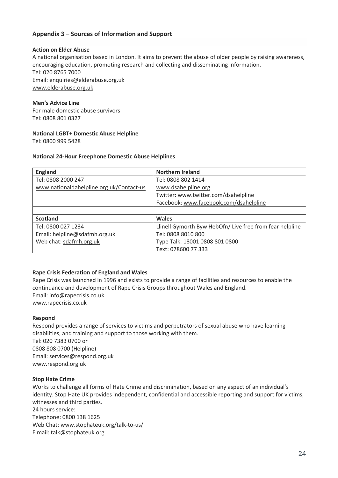## **Appendix 3 – Sources of Information and Support**

#### **Action on Elder Abuse**

A national organisation based in London. It aims to prevent the abuse of older people by raising awareness, encouraging education, promoting research and collecting and disseminating information. Tel: 020 8765 7000 Email: enquiries@elderabuse.org.uk www.elderabuse.org.uk

#### **Men's Advice Line**

For male domestic abuse survivors Tel: 0808 801 0327

#### **National LGBT+ Domestic Abuse Helpline**

Tel: 0800 999 5428

#### **National 24-Hour Freephone Domestic Abuse Helplines**

| <b>England</b>                           | <b>Northern Ireland</b>                                  |
|------------------------------------------|----------------------------------------------------------|
| Tel: 0808 2000 247                       | Tel: 0808 802 1414                                       |
| www.nationaldahelpline.org.uk/Contact-us | www.dsahelpline.org                                      |
|                                          | Twitter: www.twitter.com/dsahelpline                     |
|                                          | Facebook: www.facebook.com/dsahelpline                   |
|                                          |                                                          |
| <b>Scotland</b>                          | <b>Wales</b>                                             |
| Tel: 0800 027 1234                       | Llinell Gymorth Byw HebOfn/ Live free from fear helpline |
| Email: helpline@sdafmh.org.uk            | Tel: 0808 8010 800                                       |
| Web chat: sdafmh.org.uk                  | Type Talk: 18001 0808 801 0800                           |
|                                          | Text: 078600 77 333                                      |

#### **Rape Crisis Federation of England and Wales**

Rape Crisis was launched in 1996 and exists to provide a range of facilities and resources to enable the continuance and development of Rape Crisis Groups throughout Wales and England. Email: info@rapecrisis.co.uk www.rapecrisis.co.uk

#### **Respond**

Respond provides a range of services to victims and perpetrators of sexual abuse who have learning disabilities, and training and support to those working with them. Tel: 020 7383 0700 or  0808 808 0700 (Helpline) Email: services@respond.org.uk www.respond.org.uk

#### **Stop Hate Crime**

Works to challenge all forms of Hate Crime and discrimination, based on any aspect of an individual's identity. Stop Hate UK provides independent, confidential and accessible reporting and support for victims, witnesses and third parties. 24 hours service:

Telephone: 0800 138 1625 Web Chat: www.stophateuk.org/talk-to-us/ E mail: talk@stophateuk.org